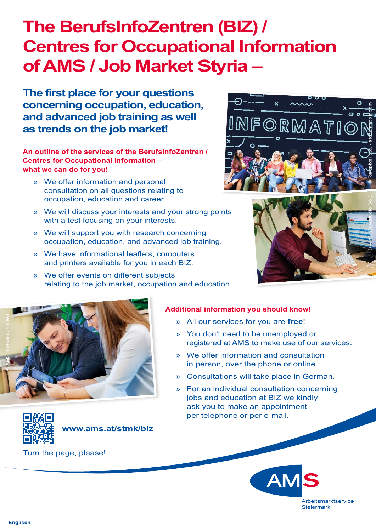## **The BerufsInfoZentren (BIZ) / Centres for Occupational Information of AMS / Job Market Styria –**

**The first place for your questions concerning occupation, education, and advanced job training as well as trends on the job market!**

**An outline of the services of the BerufsInfoZentren / Centres for Occupational Information – what we can do for you!**

- » We offer information and personal consultation on all questions relating to occupation, education and career.
- » We will discuss your interests and your strong points with a test focusing on your interests.
- » We will support you with research concerning occupation, education, and advanced job training.
- » We have informational leaflets, computers, and printers available for you in each BIZ.
- » We offer events on different subjects relating to the job market, occupation and education.







## **Additional information you should know!**

- » All our services for you are **free**!
- » You don't need to be unemployed or registered at AMS to make use of our services.
- » We offer information and consultation in person, over the phone or online.
- » Consultations will take place in German.
- » For an individual consultation concerning jobs and education at BIZ we kindly ask you to make an appointment per telephone or per e-mail.



**www.ams.at/stmk/biz**

Turn the page, please!



**Englisch**